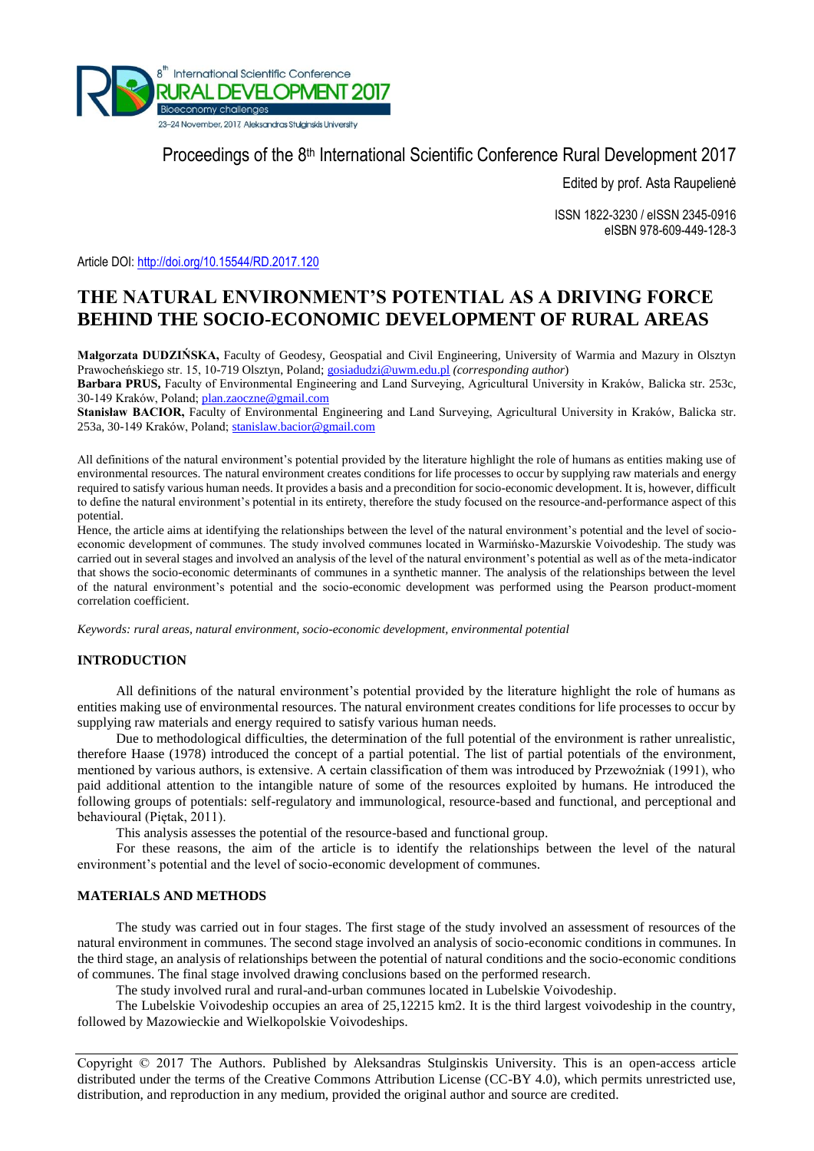

Proceedings of the 8<sup>th</sup> International Scientific Conference Rural Development 2017

Edited by prof. Asta Raupelienė

ISSN 1822-3230 / eISSN 2345-0916 eISBN 978-609-449-128-3

Article DOI:<http://doi.org/10.15544/RD.2017.120>

# **THE NATURAL ENVIRONMENT'S POTENTIAL AS A DRIVING FORCE BEHIND THE SOCIO-ECONOMIC DEVELOPMENT OF RURAL AREAS**

**Małgorzata DUDZIŃSKA,** Faculty of Geodesy, Geospatial and Civil Engineering, University of Warmia and Mazury in Olsztyn Prawocheńskiego str. 15, 10-719 Olsztyn, Poland[; gosiadudzi@uwm.edu.pl](mailto:gosiadudzi@uwm.edu.pl) *(corresponding author*)

**Barbara PRUS,** Faculty of Environmental Engineering and Land Surveying, Agricultural University in Kraków, Balicka str. 253c, 30-149 Kraków, Poland; plan.zaoczn[e@gmail.com](mailto:namesurname@gmail.com)

Stanisław BACIOR, Faculty of Environmental Engineering and Land Surveying, Agricultural University in Kraków, Balicka str. 253a, 30-149 Kraków, Poland; stanislaw.bacio[r@gmail.com](mailto:namesurname@gmail.com)

All definitions of the natural environment's potential provided by the literature highlight the role of humans as entities making use of environmental resources. The natural environment creates conditions for life processes to occur by supplying raw materials and energy required to satisfy various human needs. It provides a basis and a precondition for socio-economic development. It is, however, difficult to define the natural environment's potential in its entirety, therefore the study focused on the resource-and-performance aspect of this potential.

Hence, the article aims at identifying the relationships between the level of the natural environment's potential and the level of socioeconomic development of communes. The study involved communes located in Warmińsko-Mazurskie Voivodeship. The study was carried out in several stages and involved an analysis of the level of the natural environment's potential as well as of the meta-indicator that shows the socio-economic determinants of communes in a synthetic manner. The analysis of the relationships between the level of the natural environment's potential and the socio-economic development was performed using the Pearson product-moment correlation coefficient.

*Keywords: rural areas, natural environment, socio-economic development, environmental potential*

# **INTRODUCTION**

All definitions of the natural environment's potential provided by the literature highlight the role of humans as entities making use of environmental resources. The natural environment creates conditions for life processes to occur by supplying raw materials and energy required to satisfy various human needs.

Due to methodological difficulties, the determination of the full potential of the environment is rather unrealistic, therefore Haase (1978) introduced the concept of a partial potential. The list of partial potentials of the environment, mentioned by various authors, is extensive. A certain classification of them was introduced by Przewoźniak (1991), who paid additional attention to the intangible nature of some of the resources exploited by humans. He introduced the following groups of potentials: self-regulatory and immunological, resource-based and functional, and perceptional and behavioural (Piętak, 2011).

This analysis assesses the potential of the resource-based and functional group.

For these reasons, the aim of the article is to identify the relationships between the level of the natural environment's potential and the level of socio-economic development of communes.

### **MATERIALS AND METHODS**

The study was carried out in four stages. The first stage of the study involved an assessment of resources of the natural environment in communes. The second stage involved an analysis of socio-economic conditions in communes. In the third stage, an analysis of relationships between the potential of natural conditions and the socio-economic conditions of communes. The final stage involved drawing conclusions based on the performed research.

The study involved rural and rural-and-urban communes located in Lubelskie Voivodeship.

The Lubelskie Voivodeship occupies an area of 25,12215 km2. It is the third largest voivodeship in the country, followed by Mazowieckie and Wielkopolskie Voivodeships.

Copyright © 2017 The Authors. Published by Aleksandras Stulginskis University. This is an open-access article distributed under the terms of the Creative Commons Attribution License (CC-BY 4.0), which permits unrestricted use, distribution, and reproduction in any medium, provided the original author and source are credited.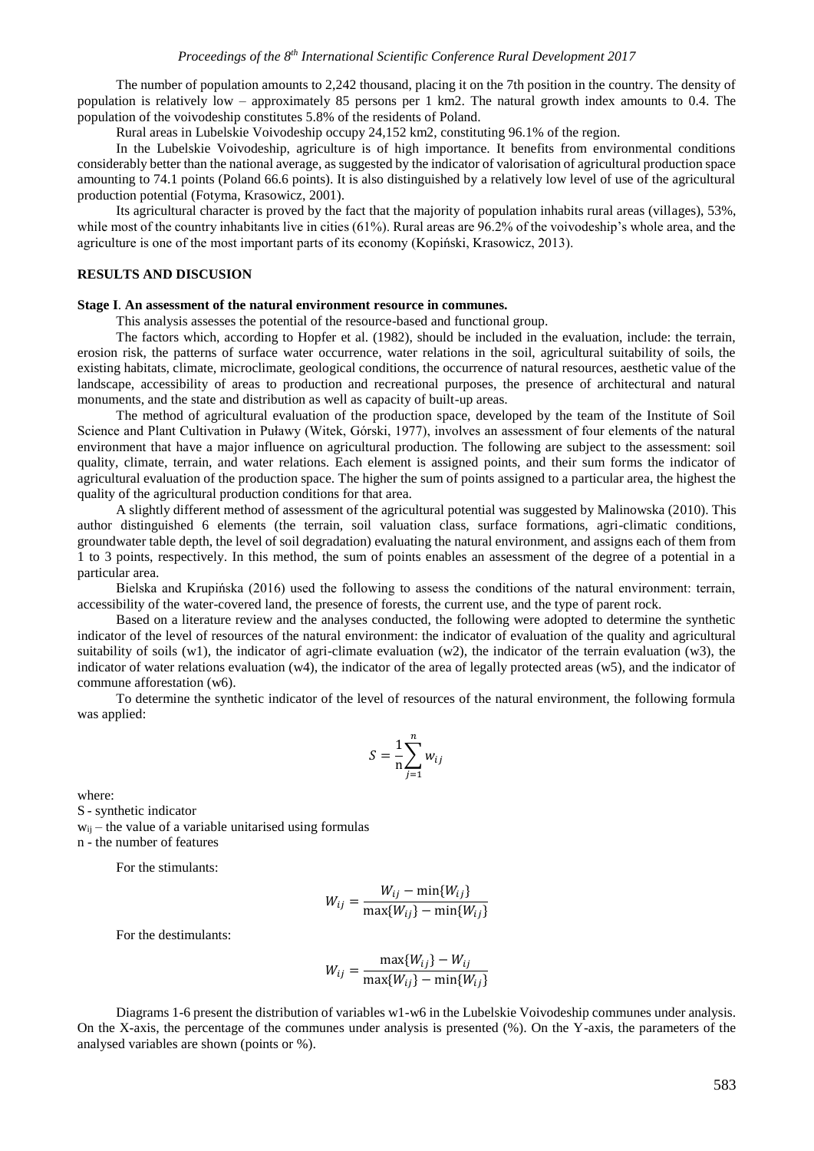The number of population amounts to 2,242 thousand, placing it on the 7th position in the country. The density of population is relatively low – approximately 85 persons per 1 km2. The natural growth index amounts to 0.4. The population of the voivodeship constitutes 5.8% of the residents of Poland.

Rural areas in Lubelskie Voivodeship occupy 24,152 km2, constituting 96.1% of the region.

In the Lubelskie Voivodeship, agriculture is of high importance. It benefits from environmental conditions considerably better than the national average, as suggested by the indicator of valorisation of agricultural production space amounting to 74.1 points (Poland 66.6 points). It is also distinguished by a relatively low level of use of the agricultural production potential (Fotyma, Krasowicz, 2001).

Its agricultural character is proved by the fact that the majority of population inhabits rural areas (villages), 53%, while most of the country inhabitants live in cities (61%). Rural areas are 96.2% of the voivodeship's whole area, and the agriculture is one of the most important parts of its economy (Kopiński, Krasowicz, 2013).

## **RESULTS AND DISCUSION**

#### **Stage I**. **An assessment of the natural environment resource in communes.**

This analysis assesses the potential of the resource-based and functional group.

The factors which, according to Hopfer et al. (1982), should be included in the evaluation, include: the terrain, erosion risk, the patterns of surface water occurrence, water relations in the soil, agricultural suitability of soils, the existing habitats, climate, microclimate, geological conditions, the occurrence of natural resources, aesthetic value of the landscape, accessibility of areas to production and recreational purposes, the presence of architectural and natural monuments, and the state and distribution as well as capacity of built-up areas.

The method of agricultural evaluation of the production space, developed by the team of the Institute of Soil Science and Plant Cultivation in Puławy (Witek, Górski, 1977), involves an assessment of four elements of the natural environment that have a major influence on agricultural production. The following are subject to the assessment: soil quality, climate, terrain, and water relations. Each element is assigned points, and their sum forms the indicator of agricultural evaluation of the production space. The higher the sum of points assigned to a particular area, the highest the quality of the agricultural production conditions for that area.

A slightly different method of assessment of the agricultural potential was suggested by Malinowska (2010). This author distinguished 6 elements (the terrain, soil valuation class, surface formations, agri-climatic conditions, groundwater table depth, the level of soil degradation) evaluating the natural environment, and assigns each of them from 1 to 3 points, respectively. In this method, the sum of points enables an assessment of the degree of a potential in a particular area.

Bielska and Krupińska (2016) used the following to assess the conditions of the natural environment: terrain, accessibility of the water-covered land, the presence of forests, the current use, and the type of parent rock.

Based on a literature review and the analyses conducted, the following were adopted to determine the synthetic indicator of the level of resources of the natural environment: the indicator of evaluation of the quality and agricultural suitability of soils (w1), the indicator of agri-climate evaluation (w2), the indicator of the terrain evaluation (w3), the indicator of water relations evaluation (w4), the indicator of the area of legally protected areas (w5), and the indicator of commune afforestation (w6).

To determine the synthetic indicator of the level of resources of the natural environment, the following formula was applied:

$$
S = \frac{1}{n} \sum_{j=1}^{n} w_{ij}
$$

where:

S - synthetic indicator  $w_{ii}$  – the value of a variable unitarised using formulas n - the number of features

For the stimulants:

$$
W_{ij} = \frac{W_{ij} - \min\{W_{ij}\}}{\max\{W_{ij}\} - \min\{W_{ij}\}}
$$

For the destimulants:

$$
W_{ij} = \frac{\max\{W_{ij}\} - W_{ij}}{\max\{W_{ij}\} - \min\{W_{ij}\}}
$$

Diagrams 1-6 present the distribution of variables w1-w6 in the Lubelskie Voivodeship communes under analysis. On the X-axis, the percentage of the communes under analysis is presented (%). On the Y-axis, the parameters of the analysed variables are shown (points or %).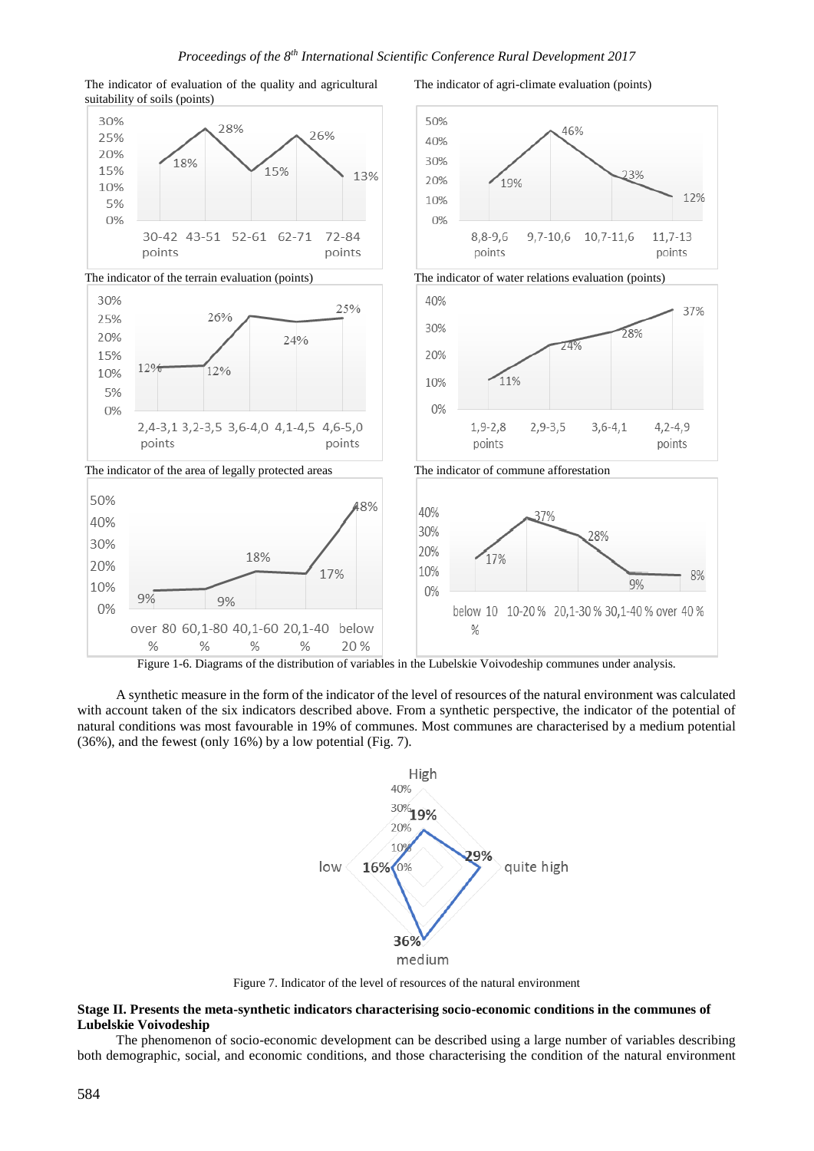

The indicator of evaluation of the quality and agricultural suitability of soils (points)

The indicator of agri-climate evaluation (points)

Figure 1-6. Diagrams of the distribution of variables in the Lubelskie Voivodeship communes under analysis.

A synthetic measure in the form of the indicator of the level of resources of the natural environment was calculated with account taken of the six indicators described above. From a synthetic perspective, the indicator of the potential of natural conditions was most favourable in 19% of communes. Most communes are characterised by a medium potential (36%), and the fewest (only 16%) by a low potential (Fig. 7).



Figure 7. Indicator of the level of resources of the natural environment

# **Stage II. Presents the meta-synthetic indicators characterising socio-economic conditions in the communes of Lubelskie Voivodeship**

The phenomenon of socio-economic development can be described using a large number of variables describing both demographic, social, and economic conditions, and those characterising the condition of the natural environment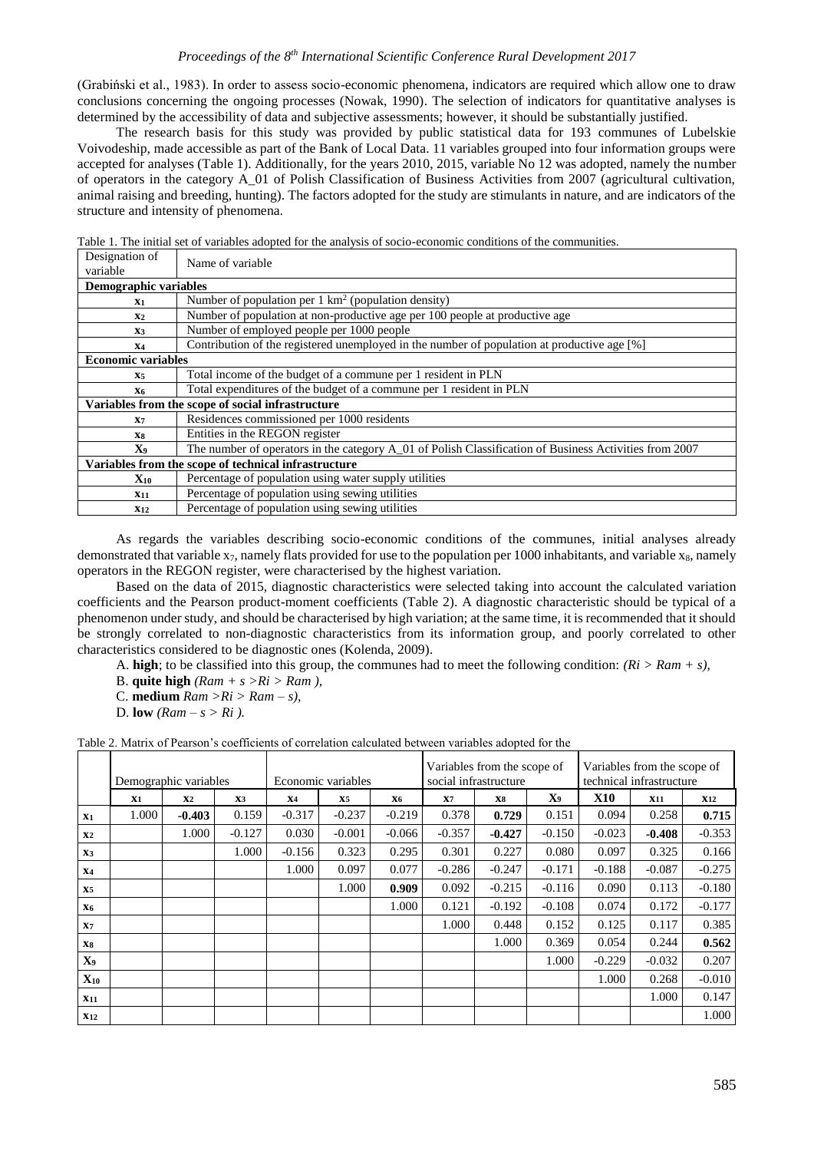### *Proceedings of the 8 th International Scientific Conference Rural Development 2017*

(Grabiński et al., 1983). In order to assess socio-economic phenomena, indicators are required which allow one to draw conclusions concerning the ongoing processes (Nowak, 1990). The selection of indicators for quantitative analyses is determined by the accessibility of data and subjective assessments; however, it should be substantially justified.

The research basis for this study was provided by public statistical data for 193 communes of Lubelskie Voivodeship, made accessible as part of the Bank of Local Data. 11 variables grouped into four information groups were accepted for analyses (Table 1). Additionally, for the years 2010, 2015, variable No 12 was adopted, namely the number of operators in the category A\_01 of Polish Classification of Business Activities from 2007 (agricultural cultivation, animal raising and breeding, hunting). The factors adopted for the study are stimulants in nature, and are indicators of the structure and intensity of phenomena.

| Designation of<br>variable                           | Name of variable                                                                                       |  |  |  |  |  |  |  |
|------------------------------------------------------|--------------------------------------------------------------------------------------------------------|--|--|--|--|--|--|--|
|                                                      | <b>Demographic variables</b>                                                                           |  |  |  |  |  |  |  |
| X1                                                   | Number of population per $1 \text{ km}^2$ (population density)                                         |  |  |  |  |  |  |  |
| X <sub>2</sub>                                       | Number of population at non-productive age per 100 people at productive age                            |  |  |  |  |  |  |  |
| X3                                                   | Number of employed people per 1000 people                                                              |  |  |  |  |  |  |  |
| <b>X4</b>                                            | Contribution of the registered unemployed in the number of population at productive age [%]            |  |  |  |  |  |  |  |
| <b>Economic variables</b>                            |                                                                                                        |  |  |  |  |  |  |  |
| <b>X5</b>                                            | Total income of the budget of a commune per 1 resident in PLN                                          |  |  |  |  |  |  |  |
| X6                                                   | Total expenditures of the budget of a commune per 1 resident in PLN                                    |  |  |  |  |  |  |  |
|                                                      | Variables from the scope of social infrastructure                                                      |  |  |  |  |  |  |  |
| X <sub>7</sub>                                       | Residences commissioned per 1000 residents                                                             |  |  |  |  |  |  |  |
| X8                                                   | Entities in the REGON register                                                                         |  |  |  |  |  |  |  |
| X9                                                   | The number of operators in the category A_01 of Polish Classification of Business Activities from 2007 |  |  |  |  |  |  |  |
| Variables from the scope of technical infrastructure |                                                                                                        |  |  |  |  |  |  |  |
| $\mathbf{X}_{\mathbf{10}}$                           | Percentage of population using water supply utilities                                                  |  |  |  |  |  |  |  |
| $X_{11}$                                             | Percentage of population using sewing utilities                                                        |  |  |  |  |  |  |  |
| X <sub>12</sub>                                      | Percentage of population using sewing utilities                                                        |  |  |  |  |  |  |  |

Table 1. The initial set of variables adopted for the analysis of socio-economic conditions of the communities.

As regards the variables describing socio-economic conditions of the communes, initial analyses already demonstrated that variable  $x_7$ , namely flats provided for use to the population per 1000 inhabitants, and variable  $x_8$ , namely operators in the REGON register, were characterised by the highest variation.

Based on the data of 2015, diagnostic characteristics were selected taking into account the calculated variation coefficients and the Pearson product-moment coefficients (Table 2). A diagnostic characteristic should be typical of a phenomenon under study, and should be characterised by high variation; at the same time, it is recommended that it should be strongly correlated to non-diagnostic characteristics from its information group, and poorly correlated to other characteristics considered to be diagnostic ones (Kolenda, 2009).

A. **high**; to be classified into this group, the communes had to meet the following condition: *(Ri > Ram + s),*

B. **quite high** *(Ram + s >Ri > Ram ),*

C. **medium**  $Ram > Ri > Ram - s$ ),

D. **low**  $(Ram - s > Ri)$ .

Table 2. Matrix of Pearson's coefficients of correlation calculated between variables adopted for the

|                | Demographic variables |                |          | Economic variables |           |          | Variables from the scope of<br>social infrastructure |          |          | Variables from the scope of<br>technical infrastructure |            |            |
|----------------|-----------------------|----------------|----------|--------------------|-----------|----------|------------------------------------------------------|----------|----------|---------------------------------------------------------|------------|------------|
|                | X1                    | X <sub>2</sub> | X3       | <b>X4</b>          | <b>X5</b> | X6       | X7                                                   | X8       | X9       | X10                                                     | <b>X11</b> | <b>X12</b> |
| X1             | 1.000                 | $-0.403$       | 0.159    | $-0.317$           | $-0.237$  | $-0.219$ | 0.378                                                | 0.729    | 0.151    | 0.094                                                   | 0.258      | 0.715      |
| X <sub>2</sub> |                       | 1.000          | $-0.127$ | 0.030              | $-0.001$  | $-0.066$ | $-0.357$                                             | $-0.427$ | $-0.150$ | $-0.023$                                                | $-0.408$   | $-0.353$   |
| X <sub>3</sub> |                       |                | 1.000    | $-0.156$           | 0.323     | 0.295    | 0.301                                                | 0.227    | 0.080    | 0.097                                                   | 0.325      | 0.166      |
| <b>X4</b>      |                       |                |          | 1.000              | 0.097     | 0.077    | $-0.286$                                             | $-0.247$ | $-0.171$ | $-0.188$                                                | $-0.087$   | $-0.275$   |
| X <sub>5</sub> |                       |                |          |                    | 1.000     | 0.909    | 0.092                                                | $-0.215$ | $-0.116$ | 0.090                                                   | 0.113      | $-0.180$   |
| <b>X6</b>      |                       |                |          |                    |           | 1.000    | 0.121                                                | $-0.192$ | $-0.108$ | 0.074                                                   | 0.172      | $-0.177$   |
| X <sub>7</sub> |                       |                |          |                    |           |          | 1.000                                                | 0.448    | 0.152    | 0.125                                                   | 0.117      | 0.385      |
| <b>X8</b>      |                       |                |          |                    |           |          |                                                      | 1.000    | 0.369    | 0.054                                                   | 0.244      | 0.562      |
| X <sub>9</sub> |                       |                |          |                    |           |          |                                                      |          | 1.000    | $-0.229$                                                | $-0.032$   | 0.207      |
| $X_{10}$       |                       |                |          |                    |           |          |                                                      |          |          | 1.000                                                   | 0.268      | $-0.010$   |
| $X_{11}$       |                       |                |          |                    |           |          |                                                      |          |          |                                                         | 1.000      | 0.147      |
| <b>X12</b>     |                       |                |          |                    |           |          |                                                      |          |          |                                                         |            | 1.000      |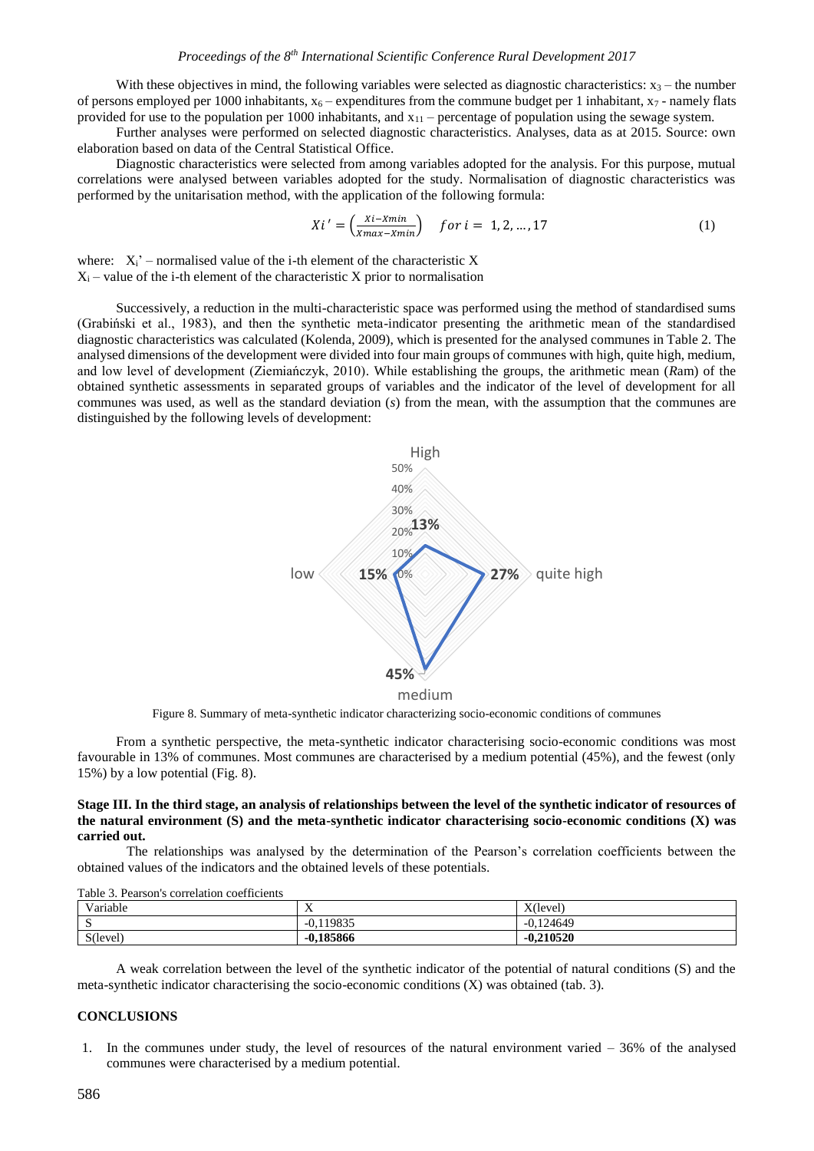With these objectives in mind, the following variables were selected as diagnostic characteristics:  $x_3$  – the number of persons employed per 1000 inhabitants,  $x_6$  – expenditures from the commune budget per 1 inhabitant,  $x_7$  - namely flats provided for use to the population per 1000 inhabitants, and  $x_{11}$  – percentage of population using the sewage system.

Further analyses were performed on selected diagnostic characteristics. Analyses, data as at 2015. Source: own elaboration based on data of the Central Statistical Office.

Diagnostic characteristics were selected from among variables adopted for the analysis. For this purpose, mutual correlations were analysed between variables adopted for the study. Normalisation of diagnostic characteristics was performed by the unitarisation method, with the application of the following formula:

$$
Xi' = \left(\frac{xi - Xmin}{Xmax - Xmin}\right) \quad for \ i = 1, 2, ..., 17
$$
 (1)

where:  $X_i'$  – normalised value of the i-th element of the characteristic X  $X_i$  – value of the i-th element of the characteristic X prior to normalisation

Successively, a reduction in the multi-characteristic space was performed using the method of standardised sums (Grabiński et al., 1983), and then the synthetic meta-indicator presenting the arithmetic mean of the standardised diagnostic characteristics was calculated (Kolenda, 2009), which is presented for the analysed communes in Table 2. The analysed dimensions of the development were divided into four main groups of communes with high, quite high, medium, and low level of development (Ziemiańczyk, 2010). While establishing the groups, the arithmetic mean (*R*am) of the obtained synthetic assessments in separated groups of variables and the indicator of the level of development for all communes was used, as well as the standard deviation (*s*) from the mean, with the assumption that the communes are distinguished by the following levels of development:



Figure 8. Summary of meta-synthetic indicator characterizing socio-economic conditions of communes

From a synthetic perspective, the meta-synthetic indicator characterising socio-economic conditions was most favourable in 13% of communes. Most communes are characterised by a medium potential (45%), and the fewest (only 15%) by a low potential (Fig. 8).

#### **Stage III. In the third stage, an analysis of relationships between the level of the synthetic indicator of resources of the natural environment (S) and the meta-synthetic indicator characterising socio-economic conditions (X) was carried out.**

The relationships was analysed by the determination of the Pearson's correlation coefficients between the obtained values of the indicators and the obtained levels of these potentials.

| Variable          | - -<br>$\Lambda$   | $X$ (level)    |
|-------------------|--------------------|----------------|
| ້                 | ,119835<br>$-0.1.$ | .124649<br>-0. |
| $S(\text{level})$ | $-0.185866$        | $-0.210520$    |

Table 3. Pearson's correlation coefficients

A weak correlation between the level of the synthetic indicator of the potential of natural conditions (S) and the meta-synthetic indicator characterising the socio-economic conditions (X) was obtained (tab. 3).

#### **CONCLUSIONS**

1. In the communes under study, the level of resources of the natural environment varied – 36% of the analysed communes were characterised by a medium potential.